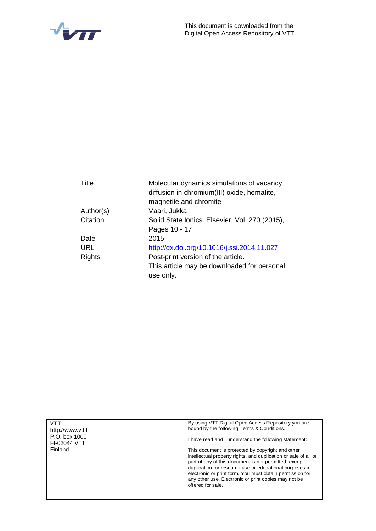

| Title         | Molecular dynamics simulations of vacancy<br>diffusion in chromium(III) oxide, hematite, |  |  |
|---------------|------------------------------------------------------------------------------------------|--|--|
|               | magnetite and chromite                                                                   |  |  |
| Author(s)     | Vaari, Jukka                                                                             |  |  |
| Citation      | Solid State Ionics. Elsevier. Vol. 270 (2015),                                           |  |  |
|               | Pages 10 - 17                                                                            |  |  |
| Date          | 2015                                                                                     |  |  |
| URL           | http://dx.doi.org/10.1016/j.ssi.2014.11.027                                              |  |  |
| <b>Rights</b> | Post-print version of the article.                                                       |  |  |
|               | This article may be downloaded for personal                                              |  |  |
|               | use only.                                                                                |  |  |
|               |                                                                                          |  |  |

| <b>VTT</b><br>http://www.ytt.fi | By using VTT Digital Open Access Repository you are<br>bound by the following Terms & Conditions.                                                                                                                                                                                                                                                                                 |  |  |
|---------------------------------|-----------------------------------------------------------------------------------------------------------------------------------------------------------------------------------------------------------------------------------------------------------------------------------------------------------------------------------------------------------------------------------|--|--|
| P.O. box 1000<br>FI-02044 VTT   | I have read and I understand the following statement:                                                                                                                                                                                                                                                                                                                             |  |  |
| Finland                         | This document is protected by copyright and other<br>intellectual property rights, and duplication or sale of all or<br>part of any of this document is not permitted, except<br>duplication for research use or educational purposes in<br>electronic or print form. You must obtain permission for<br>any other use. Electronic or print copies may not be<br>offered for sale. |  |  |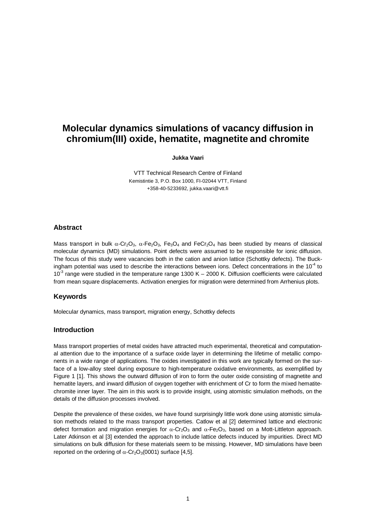# **Molecular dynamics simulations of vacancy diffusion in chromium(III) oxide, hematite, magnetite and chromite**

**Jukka Vaari**

VTT Technical Research Centre of Finland Kemistintie 3, P.O. Box 1000, FI-02044 VTT, Finland +358-40-5233692, jukka.vaari@vtt.fi

### **Abstract**

Mass transport in bulk  $\alpha$ -Cr<sub>2</sub>O<sub>3</sub>,  $\alpha$ -Fe<sub>2</sub>O<sub>3</sub>, Fe<sub>3</sub>O<sub>4</sub> and FeCr<sub>2</sub>O<sub>4</sub> has been studied by means of classical molecular dynamics (MD) simulations. Point defects were assumed to be responsible for ionic diffusion. The focus of this study were vacancies both in the cation and anion lattice (Schottky defects). The Buckingham potential was used to describe the interactions between ions. Defect concentrations in the  $10^{-4}$  to  $10<sup>3</sup>$  range were studied in the temperature range 1300 K – 2000 K. Diffusion coefficients were calculated from mean square displacements. Activation energies for migration were determined from Arrhenius plots.

## **Keywords**

Molecular dynamics, mass transport, migration energy, Schottky defects

### **Introduction**

Mass transport properties of metal oxides have attracted much experimental, theoretical and computational attention due to the importance of a surface oxide layer in determining the lifetime of metallic components in a wide range of applications. The oxides investigated in this work are typically formed on the surface of a low-alloy steel during exposure to high-temperature oxidative environments, as exemplified by Figure 1 [1]. This shows the outward diffusion of iron to form the outer oxide consisting of magnetite and hematite layers, and inward diffusion of oxygen together with enrichment of Cr to form the mixed hematitechromite inner layer. The aim in this work is to provide insight, using atomistic simulation methods, on the details of the diffusion processes involved.

Despite the prevalence of these oxides, we have found surprisingly little work done using atomistic simulation methods related to the mass transport properties. Catlow et al [2] determined lattice and electronic defect formation and migration energies for  $\alpha$ -Cr<sub>2</sub>O<sub>3</sub> and  $\alpha$ -Fe<sub>2</sub>O<sub>3</sub>, based on a Mott-Littleton approach. Later Atkinson et al [3] extended the approach to include lattice defects induced by impurities. Direct MD simulations on bulk diffusion for these materials seem to be missing. However, MD simulations have been reported on the ordering of  $\alpha$ -Cr<sub>2</sub>O<sub>3</sub>(0001) surface [4,5].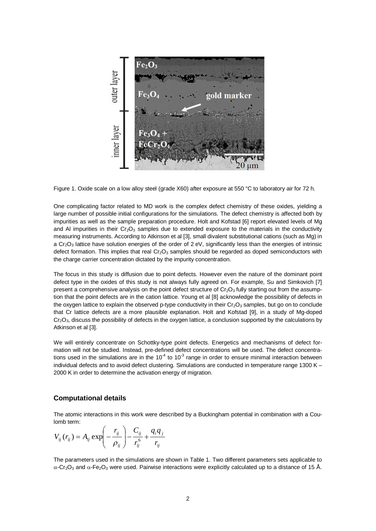

Figure 1. Oxide scale on a low alloy steel (grade X60) after exposure at 550 °C to laboratory air for 72 h.

One complicating factor related to MD work is the complex defect chemistry of these oxides, yielding a large number of possible initial configurations for the simulations. The defect chemistry is affected both by impurities as well as the sample preparation procedure. Holt and Kofstad [6] report elevated levels of Mg and AI impurities in their  $Cr_2O_3$  samples due to extended exposure to the materials in the conductivity measuring instruments. According to Atkinson et al [3], small divalent substitutional cations (such as Mg) in a Cr<sub>2</sub>O<sub>3</sub> lattice have solution energies of the order of 2 eV, significantly less than the energies of intrinsic defect formation. This implies that real  $Cr_2O_3$  samples should be regarded as doped semiconductors with the charge carrier concentration dictated by the impurity concentration.

The focus in this study is diffusion due to point defects. However even the nature of the dominant point defect type in the oxides of this study is not always fully agreed on. For example, Su and Simkovich [7] present a comprehensive analysis on the point defect structure of  $Cr_2O_3$  fully starting out from the assumption that the point defects are in the cation lattice. Young et al [8] acknowledge the possibility of defects in the oxygen lattice to explain the observed p-type conductivity in their  $Cr_2O_3$  samples, but go on to conclude that Cr lattice defects are a more plausible explanation. Holt and Kofstad [9], in a study of Mg-doped  $Cr<sub>2</sub>O<sub>3</sub>$ , discuss the possibility of defects in the oxygen lattice, a conclusion supported by the calculations by Atkinson et al [3].

We will entirely concentrate on Schottky-type point defects. Energetics and mechanisms of defect formation will not be studied. Instead, pre-defined defect concentrations will be used. The defect concentrations used in the simulations are in the  $10^{-4}$  to  $10^{-3}$  range in order to ensure minimal interaction between individual defects and to avoid defect clustering. Simulations are conducted in temperature range 1300 K – 2000 K in order to determine the activation energy of migration.

#### **Computational details**

The atomic interactions in this work were described by a Buckingham potential in combination with a Coulomb term:

$$
V_{ij}(r_{ij}) = A_{ij} \exp \left(-\frac{r_{ij}}{\rho_{ij}}\right) - \frac{C_{ij}}{r_{ij}^6} + \frac{q_i q_j}{r_{ij}}
$$

The parameters used in the simulations are shown in Table 1. Two different parameters sets applicable to  $\alpha$ -Cr<sub>2</sub>O<sub>3</sub> and  $\alpha$ -Fe<sub>2</sub>O<sub>3</sub> were used. Pairwise interactions were explicitly calculated up to a distance of 15 Å.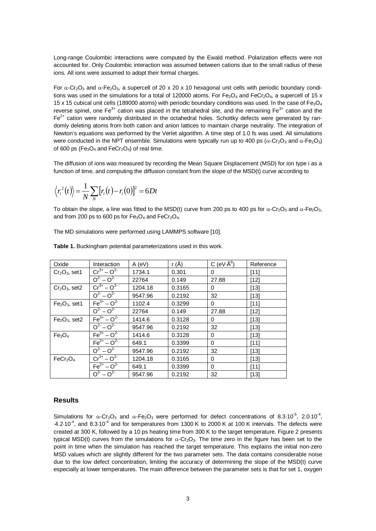Long-range Coulombic interactions were computed by the Ewald method. Polarization effects were not accounted for. Only Coulombic interaction was assumed between cations due to the small radius of these ions. All ions were assumed to adopt their formal charges.

For  $\alpha$ -Cr<sub>2</sub>O<sub>3</sub> and  $\alpha$ -Fe<sub>2</sub>O<sub>3</sub>, a supercell of 20 x 20 x 10 hexagonal unit cells with periodic boundary conditions was used in the simulations for a total of 120000 atoms. For Fe<sub>3</sub>O<sub>4</sub> and FeCr<sub>2</sub>O<sub>4</sub>, a supercell of 15 x 15 x 15 cubical unit cells (189000 atoms) with periodic boundary conditions was used. In the case of Fe<sub>3</sub>O<sub>4</sub> reverse spinel, one Fe<sup>3+</sup> cation was placed in the tetrahedral site, and the remaining Fe<sup>3+</sup> cation and the  $Fe<sup>2+</sup>$  cation were randomly distributed in the octahedral holes. Schottky defects were generated by randomly deleting atoms from both cation and anion lattices to maintain charge neutrality. The integration of Newton's equations was performed by the Verlet algorithm. A time step of 1.0 fs was used. All simulations were conducted in the NPT ensemble. Simulations were typically run up to 400 ps ( $\alpha$ -Cr<sub>2</sub>O<sub>3</sub> and  $\alpha$ -Fe<sub>2</sub>O<sub>3</sub>) of 600 ps ( $Fe<sub>3</sub>O<sub>4</sub>$  and  $FeCr<sub>2</sub>O<sub>4</sub>$ ) of real time.

The diffusion of ions was measured by recording the Mean Square Displacement (MSD) for ion type i as a function of time, and computing the diffusion constant from the slope of the MSD(t) curve according to

$$
\langle r_i^2(t)\rangle = \frac{1}{N}\sum_{N} [r_i(t) - r_i(0)]^2 = 6Dt
$$

To obtain the slope, a line was fitted to the MSD(t) curve from 200 ps to 400 ps for  $\alpha$ -Cr<sub>2</sub>O<sub>3</sub> and  $\alpha$ -Fe<sub>2</sub>O<sub>3</sub>, and from 200 ps to 600 ps for  $Fe<sub>3</sub>O<sub>4</sub>$  and  $FeCr<sub>2</sub>O<sub>4</sub>$ .

The MD simulations were performed using LAMMPS software [10].

| Oxide                            | Interaction          | $A$ (eV) | r (Å)  | C (eV $\cdot$ Å $^{6}$ ) | Reference |
|----------------------------------|----------------------|----------|--------|--------------------------|-----------|
| $Cr2O3$ , set1                   | $Cr^{3+} - O^{2-}$   | 1734.1   | 0.301  | 0                        | $[11]$    |
|                                  | $Q^2 - Q^2$          | 22764    | 0.149  | 27.88                    | $[12]$    |
| $Cr2O3$ , set2                   | $Cr^{3+} - O^{2-}$   | 1204.18  | 0.3165 | 0                        | $[13]$    |
|                                  | $Q^2 - Q^2$          | 9547.96  | 0.2192 | 32                       | $[13]$    |
| $Fe2O3$ , set1                   | $Fe3+ - O2-$         | 1102.4   | 0.3299 | 0                        | $[11]$    |
|                                  | $Q^2 - Q^2$          | 22764    | 0.149  | 27.88                    | $[12]$    |
| $Fe2O3$ , set2                   | $Fe3+ - O2-$         | 1414.6   | 0.3128 | 0                        | $[13]$    |
|                                  | $Q^{2} - Q^{2}$      | 9547.96  | 0.2192 | 32                       | $[13]$    |
| Fe <sub>3</sub> O <sub>4</sub>   | $Fe3+ - O2-$         | 1414.6   | 0.3128 | 0                        | $[13]$    |
|                                  | $Fe^{2+}$ – $O^{2-}$ | 649.1    | 0.3399 | 0                        | $[11]$    |
|                                  | $Q^2 - Q^2$          | 9547.96  | 0.2192 | 32                       | $[13]$    |
| FeCr <sub>2</sub> O <sub>4</sub> | $Cr^{3+} - O^{2-}$   | 1204.18  | 0.3165 | 0                        | $[13]$    |
|                                  | $Fe2+ - O2-$         | 649.1    | 0.3399 | 0                        | [11]      |
|                                  | $Q^2 - Q^2$          | 9547.96  | 0.2192 | 32                       | $[13]$    |

**Table 1.** Buckingham potential parameterizations used in this work.

## **Results**

Simulations for  $\alpha$ -Cr<sub>2</sub>O<sub>3</sub> and  $\alpha$ -Fe<sub>2</sub>O<sub>3</sub> were performed for defect concentrations of 8.3·10<sup>-5</sup>, 2.0·10<sup>-4</sup>,  $4.210<sup>-4</sup>$ , and 8.3 $10<sup>-4</sup>$  and for temperatures from 1300 K to 2000 K at 100 K intervals. The defects were created at 300 K, followed by a 10 ps heating time from 300 K to the target temperature. Figure 2 presents typical MSD(t) curves from the simulations for  $\alpha$ -Cr<sub>2</sub>O<sub>3</sub>. The time zero in the figure has been set to the point in time when the simulation has reached the target temperature. This explains the initial non-zero MSD values which are slightly different for the two parameter sets. The data contains considerable noise due to the low defect concentration, limiting the accuracy of determining the slope of the MSD(t) curve especially at lower temperatures. The main difference between the parameter sets is that for set 1, oxygen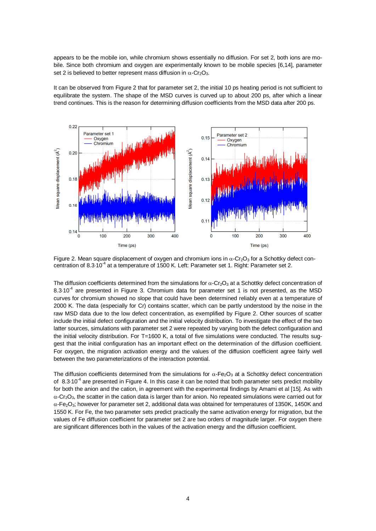appears to be the mobile ion, while chromium shows essentially no diffusion. For set 2, both ions are mobile. Since both chromium and oxygen are experimentally known to be mobile species [6,14], parameter set 2 is believed to better represent mass diffusion in  $\alpha$ -Cr<sub>2</sub>O<sub>3</sub>.

It can be observed from Figure 2 that for parameter set 2, the initial 10 ps heating period is not sufficient to equilibrate the system. The shape of the MSD curves is curved up to about 200 ps, after which a linear trend continues. This is the reason for determining diffusion coefficients from the MSD data after 200 ps.



Figure 2. Mean square displacement of oxygen and chromium ions in  $\alpha$ -Cr<sub>2</sub>O<sub>3</sub> for a Schottky defect concentration of 8.3.10<sup>-4</sup> at a temperature of 1500 K. Left: Parameter set 1. Right: Parameter set 2.

The diffusion coefficients determined from the simulations for  $\alpha$ -Cr<sub>2</sub>O<sub>3</sub> at a Schottky defect concentration of 8.3.10<sup>-4</sup> are presented in Figure 3. Chromium data for parameter set 1 is not presented, as the MSD curves for chromium showed no slope that could have been determined reliably even at a temperature of 2000 K. The data (especially for Cr) contains scatter, which can be partly understood by the noise in the raw MSD data due to the low defect concentration, as exemplified by Figure 2. Other sources of scatter include the initial defect configuration and the initial velocity distribution. To investigate the effect of the two latter sources, simulations with parameter set 2 were repeated by varying both the defect configuration and the initial velocity distribution. For T=1600 K, a total of five simulations were conducted. The results suggest that the initial configuration has an important effect on the determination of the diffusion coefficient. For oxygen, the migration activation energy and the values of the diffusion coefficient agree fairly well between the two parameterizations of the interaction potential.

The diffusion coefficients determined from the simulations for  $\alpha$ -Fe<sub>2</sub>O<sub>3</sub> at a Schottky defect concentration of 8.3.10<sup>-4</sup> are presented in Figure 4. In this case it can be noted that both parameter sets predict mobility for both the anion and the cation, in agreement with the experimental findings by Amami et al [15]. As with  $\alpha$ -Cr<sub>2</sub>O<sub>3</sub>, the scatter in the cation data is larger than for anion. No repeated simulations were carried out for  $\alpha$ -Fe<sub>2</sub>O<sub>3</sub>; however for parameter set 2, additional data was obtained for temperatures of 1350K, 1450K and 1550 K. For Fe, the two parameter sets predict practically the same activation energy for migration, but the values of Fe diffusion coefficient for parameter set 2 are two orders of magnitude larger. For oxygen there are significant differences both in the values of the activation energy and the diffusion coefficient.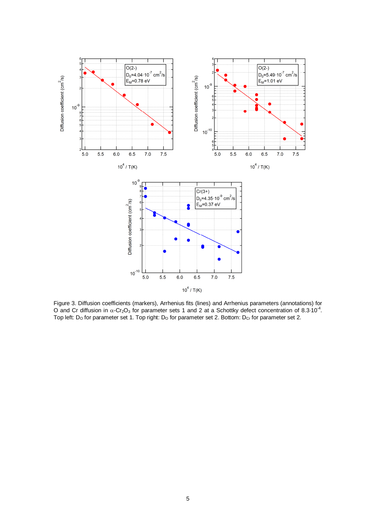

Figure 3. Diffusion coefficients (markers), Arrhenius fits (lines) and Arrhenius parameters (annotations) for O and Cr diffusion in  $\alpha$ -Cr<sub>2</sub>O<sub>3</sub> for parameter sets 1 and 2 at a Schottky defect concentration of 8.3<sup>-10<sup>-4</sup>.</sup> Top left: D<sub>o</sub> for parameter set 1. Top right: D<sub>o</sub> for parameter set 2. Bottom: D<sub>Cr</sub> for parameter set 2.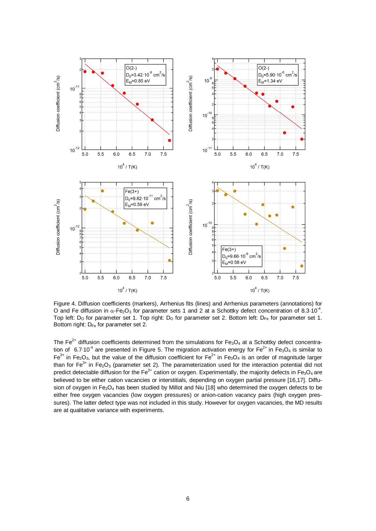

Figure 4. Diffusion coefficients (markers), Arrhenius fits (lines) and Arrhenius parameters (annotations) for O and Fe diffusion in  $\alpha$ -Fe<sub>2</sub>O<sub>3</sub> for parameter sets 1 and 2 at a Schottky defect concentration of 8.3·10<sup>-4</sup>. Top left:  $D_{\rm O}$  for parameter set 1. Top right:  $D_{\rm O}$  for parameter set 2. Bottom left:  $D_{\rm Fe}$  for parameter set 1. Bottom right: D<sub>Fe</sub> for parameter set 2.

The  $Fe<sup>2+</sup>$  diffusion coefficients determined from the simulations for  $Fe<sub>3</sub>O<sub>4</sub>$  at a Schottky defect concentration of 6.7.10<sup>-4</sup> are presented in Figure 5. The migration activation energy for Fe<sup>2+</sup> in Fe<sub>3</sub>O<sub>4</sub> is similar to  $Fe<sup>3+</sup>$  in Fe<sub>2</sub>O<sub>3</sub>, but the value of the diffusion coefficient for Fe<sup>2+</sup> in Fe<sub>3</sub>O<sub>4</sub> is an order of magnitude larger than for  $\overline{Fe}^{3+}$  in Fe<sub>2</sub>O<sub>3</sub> (parameter set 2). The parameterization used for the interaction potential did not predict detectable diffusion for the Fe<sup>3+</sup> cation or oxygen. Experimentally, the majority defects in Fe<sub>3</sub>O<sub>4</sub> are believed to be either cation vacancies or interstitials, depending on oxygen partial pressure [16,17]. Diffusion of oxygen in Fe<sub>3</sub>O<sub>4</sub> has been studied by Millot and Niu [18] who determined the oxygen defects to be either free oxygen vacancies (low oxygen pressures) or anion-cation vacancy pairs (high oxygen pressures). The latter defect type was not included in this study. However for oxygen vacancies, the MD results are at qualitative variance with experiments.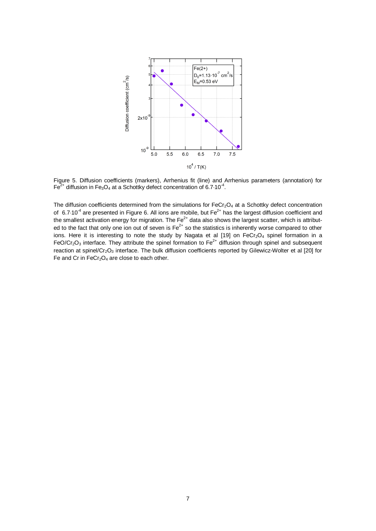

Figure 5. Diffusion coefficients (markers), Arrhenius fit (line) and Arrhenius parameters (annotation) for  $\overline{Fe}^{2+}$  diffusion in Fe<sub>3</sub>O<sub>4</sub> at a Schottky defect concentration of 6.7.10<sup>-4</sup>.

The diffusion coefficients determined from the simulations for  $FeCr<sub>2</sub>O<sub>4</sub>$  at a Schottky defect concentration of 6.7 $\cdot$ 10<sup>-4</sup> are presented in Figure 6. All ions are mobile, but Fe<sup>2+</sup> has the largest diffusion coefficient and the smallest activation energy for migration. The Fe<sup>2+</sup> data also shows the largest scatter, which is attributed to the fact that only one ion out of seven is  $Fe^{2+}$  so the statistics is inherently worse compared to other ions. Here it is interesting to note the study by Nagata et al [19] on FeCr<sub>2</sub>O<sub>4</sub> spinel formation in a FeO/Cr<sub>2</sub>O<sub>3</sub> interface. They attribute the spinel formation to Fe<sup>2+</sup> diffusion through spinel and subsequent reaction at spinel/Cr<sub>2</sub>O<sub>3</sub> interface. The bulk diffusion coefficients reported by Gilewicz-Wolter et al [20] for Fe and Cr in  $FeCr<sub>2</sub>O<sub>4</sub>$  are close to each other.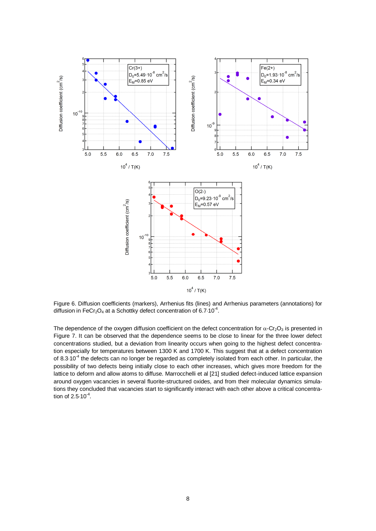

Figure 6. Diffusion coefficients (markers), Arrhenius fits (lines) and Arrhenius parameters (annotations) for diffusion in FeCr<sub>2</sub>O<sub>4</sub> at a Schottky defect concentration of 6.7.10<sup>-4</sup>.

The dependence of the oxygen diffusion coefficient on the defect concentration for  $\alpha$ -Cr<sub>2</sub>O<sub>3</sub> is presented in Figure 7. It can be observed that the dependence seems to be close to linear for the three lower defect concentrations studied, but a deviation from linearity occurs when going to the highest defect concentration especially for temperatures between 1300 K and 1700 K. This suggest that at a defect concentration of  $8.3 \cdot 10^{-4}$  the defects can no longer be regarded as completely isolated from each other. In particular, the possibility of two defects being initially close to each other increases, which gives more freedom for the lattice to deform and allow atoms to diffuse. Marrocchelli et al [21] studied defect-induced lattice expansion around oxygen vacancies in several fluorite-structured oxides, and from their molecular dynamics simulations they concluded that vacancies start to significantly interact with each other above a critical concentration of  $2.5 \cdot 10^{-4}$ .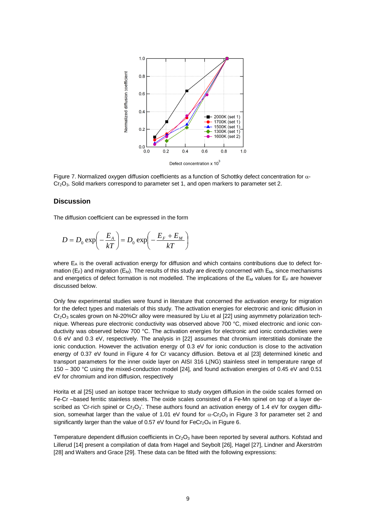

Figure 7. Normalized oxygen diffusion coefficients as a function of Schottky defect concentration for  $\alpha$ - $Cr<sub>2</sub>O<sub>3</sub>$ . Solid markers correspond to parameter set 1, and open markers to parameter set 2.

#### **Discussion**

The diffusion coefficient can be expressed in the form

$$
D = D_0 \exp\left(-\frac{E_A}{kT}\right) = D_0 \exp\left(-\frac{E_F + E_M}{kT}\right)
$$

where  $E_A$  is the overall activation energy for diffusion and which contains contributions due to defect formation ( $E_F$ ) and migration ( $E_M$ ). The results of this study are directly concerned with  $E_M$ , since mechanisms and energetics of defect formation is not modelled. The implications of the  $E_M$  values for  $E_F$  are however discussed below.

Only few experimental studies were found in literature that concerned the activation energy for migration for the defect types and materials of this study. The activation energies for electronic and ionic diffusion in  $Cr<sub>2</sub>O<sub>3</sub>$  scales grown on Ni-20%Cr alloy were measured by Liu et al [22] using asymmetry polarization technique. Whereas pure electronic conductivity was observed above 700 °C, mixed electronic and ionic conductivity was observed below 700 °C. The activation energies for electronic and ionic conductivities were 0.6 eV and 0.3 eV, respectively. The analysis in [22] assumes that chromium interstitials dominate the ionic conduction. However the activation energy of 0.3 eV for ionic conduction is close to the activation energy of 0.37 eV found in Figure 4 for Cr vacancy diffusion. Betova et al [23] determined kinetic and transport parameters for the inner oxide layer on AISI 316 L(NG) stainless steel in temperature range of 150 – 300 °C using the mixed-conduction model [24], and found activation energies of 0.45 eV and 0.51 eV for chromium and iron diffusion, respectively

Horita et al [25] used an isotope tracer technique to study oxygen diffusion in the oxide scales formed on Fe-Cr –based ferritic stainless steels. The oxide scales consisted of a Fe-Mn spinel on top of a layer described as 'Cr-rich spinel or  $Cr_2O_3$ '. These authors found an activation energy of 1.4 eV for oxygen diffusion, somewhat larger than the value of 1.01 eV found for  $\alpha$ -Cr<sub>2</sub>O<sub>3</sub> in Figure 3 for parameter set 2 and significantly larger than the value of 0.57 eV found for  $FeCr<sub>2</sub>O<sub>4</sub>$  in Figure 6.

Temperature dependent diffusion coefficients in  $Cr_2O_3$  have been reported by several authors. Kofstad and Lillerud [14] present a compilation of data from Hagel and Seybolt [26], Hagel [27], Lindner and Åkerström [28] and Walters and Grace [29]. These data can be fitted with the following expressions: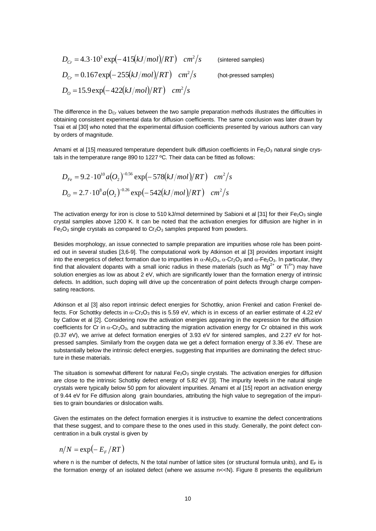$$
D_{Cr} = 4.3 \cdot 10^3 \exp(-415(kJ/mol)/RT) \quad cm^2/s \qquad \text{(sintered samples)}
$$
  
\n
$$
D_{Cr} = 0.167 \exp(-255(kJ/mol)/RT) \quad cm^2/s \qquad \text{(hot-pressed samples)}
$$
  
\n
$$
D_O = 15.9 \exp(-422(kJ/mol)/RT) \quad cm^2/s
$$

The difference in the  $D_{Cr}$  values between the two sample preparation methods illustrates the difficulties in obtaining consistent experimental data for diffusion coefficients. The same conclusion was later drawn by Tsai et al [30] who noted that the experimental diffusion coefficients presented by various authors can vary by orders of magnitude.

Amami et al [15] measured temperature dependent bulk diffusion coefficients in  $Fe<sub>2</sub>O<sub>3</sub>$  natural single crystals in the temperature range 890 to 1227 ºC. Their data can be fitted as follows:

$$
D_{Fe} = 9.2 \cdot 10^{10} a (O_2)^{-0.56} \exp(-578(kJ/mol)/RT) \text{ cm}^2/s
$$
  

$$
D_{O} = 2.7 \cdot 10^8 a (O_2)^{-0.26} \exp(-542(kJ/mol)/RT) \text{ cm}^2/s
$$

The activation energy for iron is close to 510 kJ/mol determined by Sabioni et al [31] for their  $Fe<sub>2</sub>O<sub>3</sub>$  single crystal samples above 1200 K. It can be noted that the activation energies for diffusion are higher in in  $Fe<sub>2</sub>O<sub>3</sub>$  single crystals as compared to  $Cr<sub>2</sub>O<sub>3</sub>$  samples prepared from powders.

Besides morphology, an issue connected to sample preparation are impurities whose role has been pointed out in several studies [3,6-9]. The computational work by Atkinson et al [3] provides important insight into the energetics of defect formation due to impurities in  $\alpha$ -Al<sub>2</sub>O<sub>3</sub>,  $\alpha$ -Cr<sub>2</sub>O<sub>3</sub> and  $\alpha$ -Fe<sub>2</sub>O<sub>3</sub>. In particular, they find that aliovalent dopants with a small ionic radius in these materials (such as  $Mq^{2+}$  or Ti<sup>4+</sup>) may have solution energies as low as about 2 eV, which are significantly lower than the formation energy of intrinsic defects. In addition, such doping will drive up the concentration of point defects through charge compensating reactions.

Atkinson et al [3] also report intrinsic defect energies for Schottky, anion Frenkel and cation Frenkel defects. For Schottky defects in  $\alpha$ -Cr<sub>2</sub>O<sub>3</sub> this is 5.59 eV, which is in excess of an earlier estimate of 4.22 eV by Catlow et al [2]. Considering now the activation energies appearing in the expression for the diffusion coefficients for Cr in  $\alpha$ -Cr<sub>2</sub>O<sub>3</sub>, and subtracting the migration activation energy for Cr obtained in this work (0.37 eV), we arrive at defect formation energies of 3.93 eV for sintered samples, and 2.27 eV for hotpressed samples. Similarly from the oxygen data we get a defect formation energy of 3.36 eV. These are substantially below the intrinsic defect energies, suggesting that impurities are dominating the defect structure in these materials.

The situation is somewhat different for natural  $Fe<sub>2</sub>O<sub>3</sub>$  single crystals. The activation energies for diffusion are close to the intrinsic Schottky defect energy of 5.82 eV [3]. The impurity levels in the natural single crystals were typically below 50 ppm for aliovalent impurities. Amami et al [15] report an activation energy of 9.44 eV for Fe diffusion along grain boundaries, attributing the high value to segregation of the impurities to grain boundaries or dislocation walls.

Given the estimates on the defect formation energies it is instructive to examine the defect concentrations that these suggest, and to compare these to the ones used in this study. Generally, the point defect concentration in a bulk crystal is given by

$$
n/N = \exp(-E_F/RT)
$$

where n is the number of defects, N the total number of lattice sites (or structural formula units), and  $E_F$  is the formation energy of an isolated defect (where we assume  $n << N$ ). Figure 8 presents the equilibrium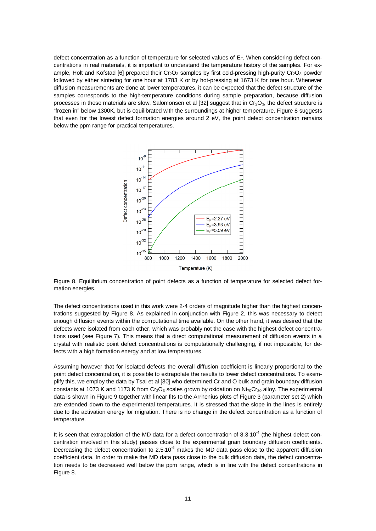defect concentration as a function of temperature for selected values of  $E_F$ . When considering defect concentrations in real materials, it is important to understand the temperature history of the samples. For example, Holt and Kofstad [6] prepared their  $Cr_2O_3$  samples by first cold-pressing high-purity  $Cr_2O_3$  powder followed by either sintering for one hour at 1783 K or by hot-pressing at 1673 K for one hour. Whenever diffusion measurements are done at lower temperatures, it can be expected that the defect structure of the samples corresponds to the high-temperature conditions during sample preparation, because diffusion processes in these materials are slow. Salomonsen et al [32] suggest that in  $Cr_2O_3$ , the defect structure is "frozen in" below 1300K, but is equilibrated with the surroundings at higher temperature. Figure 8 suggests that even for the lowest defect formation energies around 2 eV, the point defect concentration remains below the ppm range for practical temperatures.



Figure 8. Equilibrium concentration of point defects as a function of temperature for selected defect formation energies.

The defect concentrations used in this work were 2-4 orders of magnitude higher than the highest concentrations suggested by Figure 8. As explained in conjunction with Figure 2, this was necessary to detect enough diffusion events within the computational time available. On the other hand, it was desired that the defects were isolated from each other, which was probably not the case with the highest defect concentrations used (see Figure 7). This means that a direct computational measurement of diffusion events in a crystal with realistic point defect concentrations is computationally challenging, if not impossible, for defects with a high formation energy and at low temperatures.

Assuming however that for isolated defects the overall diffusion coefficient is linearly proportional to the point defect concentration, it is possible to extrapolate the results to lower defect concentrations. To exemplify this, we employ the data by Tsai et al [30] who determined Cr and O bulk and grain boundary diffusion constants at 1073 K and 1173 K from Cr<sub>2</sub>O<sub>3</sub> scales grown by oxidation on Ni<sub>70</sub>Cr<sub>30</sub> alloy. The experimental data is shown in Figure 9 together with linear fits to the Arrhenius plots of Figure 3 (parameter set 2) which are extended down to the experimental temperatures. It is stressed that the slope in the lines is entirely due to the activation energy for migration. There is no change in the defect concentration as a function of temperature.

It is seen that extrapolation of the MD data for a defect concentration of  $8.3·10<sup>-4</sup>$  (the highest defect concentration involved in this study) passes close to the experimental grain boundary diffusion coefficients. Decreasing the defect concentration to 2.5.10<sup>-6</sup> makes the MD data pass close to the apparent diffusion coefficient data. In order to make the MD data pass close to the bulk diffusion data, the defect concentration needs to be decreased well below the ppm range, which is in line with the defect concentrations in Figure 8.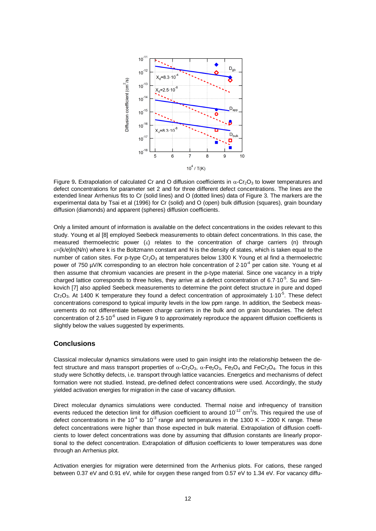

Figure 9. Extrapolation of calculated Cr and O diffusion coefficients in  $\alpha$ -Cr<sub>2</sub>O<sub>3</sub> to lower temperatures and defect concentrations for parameter set 2 and for three different defect concentrations. The lines are the extended linear Arrhenius fits to Cr (solid lines) and O (dotted lines) data of Figure 3. The markers are the experimental data by Tsai et al (1996) for Cr (solid) and O (open) bulk diffusion (squares), grain boundary diffusion (diamonds) and apparent (spheres) diffusion coefficients.

Only a limited amount of information is available on the defect concentrations in the oxides relevant to this study. Young et al [8] employed Seebeck measurements to obtain defect concentrations. In this case, the measured thermoelectric power  $(\epsilon)$  relates to the concentration of charge carriers (n) through  $\varepsilon = (k/e) \ln(N/n)$  where k is the Boltzmann constant and N is the density of states, which is taken equal to the number of cation sites. For p-type Cr<sub>2</sub>O<sub>3</sub> at temperatures below 1300 K Young et al find a thermoelectric power of 750  $\mu$ V/K corresponding to an electron hole concentration of 2.10<sup>-4</sup> per cation site. Young et al then assume that chromium vacancies are present in the p-type material. Since one vacancy in a triply charged lattice corresponds to three holes, they arrive at a defect concentration of  $6.7 \cdot 10^{-5}$ . Su and Simkovich [7] also applied Seebeck measurements to determine the point defect structure in pure and doped  $Cr_2O_3$ . At 1400 K temperature they found a defect concentration of approximately 1.10<sup>-5</sup>. These defect concentrations correspond to typical impurity levels in the low ppm range. In addition, the Seebeck measurements do not differentiate between charge carriers in the bulk and on grain boundaries. The defect concentration of 2.5.10<sup>-6</sup> used in Figure 9 to approximately reproduce the apparent diffusion coefficients is slightly below the values suggested by experiments.

## **Conclusions**

Classical molecular dynamics simulations were used to gain insight into the relationship between the defect structure and mass transport properties of  $\alpha$ -Cr<sub>2</sub>O<sub>3</sub>,  $\alpha$ -Fe<sub>2</sub>O<sub>3</sub>, Fe<sub>3</sub>O<sub>4</sub> and FeCr<sub>2</sub>O<sub>4</sub>. The focus in this study were Schottky defects, i.e. transport through lattice vacancies. Energetics and mechanisms of defect formation were not studied. Instead, pre-defined defect concentrations were used. Accordingly, the study yielded activation energies for migration in the case of vacancy diffusion.

Direct molecular dynamics simulations were conducted. Thermal noise and infrequency of transition events reduced the detection limit for diffusion coefficient to around  $10^{-12}$  cm<sup>2</sup>/s. This required the use of defect concentrations in the 10<sup>-4</sup> to 10<sup>-3</sup> range and temperatures in the 1300 K – 2000 K range. These defect concentrations were higher than those expected in bulk material. Extrapolation of diffusion coefficients to lower defect concentrations was done by assuming that diffusion constants are linearly proportional to the defect concentration. Extrapolation of diffusion coefficients to lower temperatures was done through an Arrhenius plot.

Activation energies for migration were determined from the Arrhenius plots. For cations, these ranged between 0.37 eV and 0.91 eV, while for oxygen these ranged from 0.57 eV to 1.34 eV. For vacancy diffu-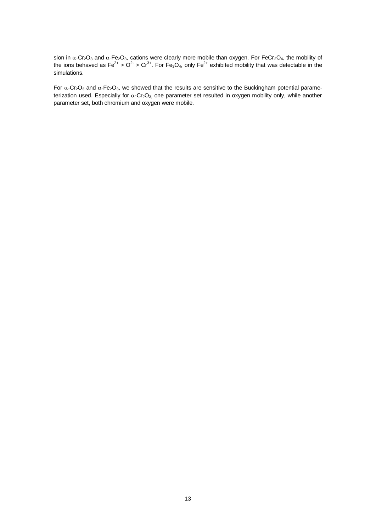sion in  $\alpha$ -Cr<sub>2</sub>O<sub>3</sub> and  $\alpha$ -Fe<sub>2</sub>O<sub>3</sub>, cations were clearly more mobile than oxygen. For FeCr<sub>2</sub>O<sub>4</sub>, the mobility of the ions behaved as Fe<sup>2+</sup> > O<sup>2-</sup> > Cr<sup>3+</sup>. For Fe<sub>3</sub>O<sub>4</sub>, only Fe<sup>2+</sup> exhibited mobility that was detectable in the simulations.

For  $\alpha$ -Cr<sub>2</sub>O<sub>3</sub> and  $\alpha$ -Fe<sub>2</sub>O<sub>3</sub>, we showed that the results are sensitive to the Buckingham potential parameterization used. Especially for  $\alpha$ -Cr<sub>2</sub>O<sub>3</sub>, one parameter set resulted in oxygen mobility only, while another parameter set, both chromium and oxygen were mobile.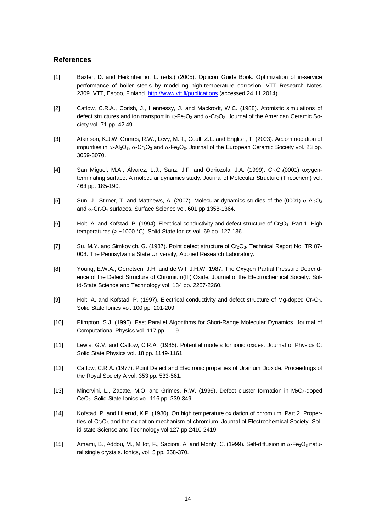### **References**

- [1] Baxter, D. and Heikinheimo, L. (eds.) (2005). Opticorr Guide Book. Optimization of in-service performance of boiler steels by modelling high-temperature corrosion. VTT Research Notes 2309. VTT, Espoo, Finland. http://www.vtt.fi/publications (accessed 24.11.2014)
- [2] Catlow, C.R.A., Corish, J., Hennessy, J. and Mackrodt, W.C. (1988). Atomistic simulations of defect structures and ion transport in  $\alpha$ -Fe<sub>2</sub>O<sub>3</sub> and  $\alpha$ -Cr<sub>2</sub>O<sub>3</sub>. Journal of the American Ceramic Society vol. 71 pp. 42.49.
- [3] Atkinson, K.J.W, Grimes, R.W., Levy, M.R., Coull, Z.L. and English, T. (2003). Accommodation of impurities in  $\alpha$ -Al<sub>2</sub>O<sub>3</sub>,  $\alpha$ -Cr<sub>2</sub>O<sub>3</sub> and  $\alpha$ -Fe<sub>2</sub>O<sub>3</sub>. Journal of the European Ceramic Society vol. 23 pp. 3059-3070.
- [4] San Miguel, M.A., Álvarez, L.J., Sanz, J.F. and Odriozola, J.A. (1999). Cr<sub>2</sub>O<sub>3</sub>(0001) oxygenterminating surface. A molecular dynamics study. Journal of Molecular Structure (Theochem) vol. 463 pp. 185-190.
- [5] Sun, J., Stirner, T. and Matthews, A. (2007). Molecular dynamics studies of the (0001)  $\alpha$ -Al<sub>2</sub>O<sub>3</sub> and  $\alpha$ -Cr<sub>2</sub>O<sub>3</sub> surfaces. Surface Science vol. 601 pp.1358-1364.
- [6] Holt, A. and Kofstad, P. (1994). Electrical conductivity and defect structure of Cr<sub>2</sub>O<sub>3</sub>. Part 1. High temperatures (> ~1000 °C). Solid State Ionics vol. 69 pp. 127-136.
- [7] Su, M.Y. and Simkovich, G. (1987). Point defect structure of Cr<sub>2</sub>O<sub>3</sub>. Technical Report No. TR 87-008. The Pennsylvania State University, Applied Research Laboratory.
- [8] Young, E.W.A., Gerretsen, J.H. and de Wit, J.H.W. 1987. The Oxygen Partial Pressure Dependence of the Defect Structure of Chromium(III) Oxide. Journal of the Electrochemical Society: Solid-State Science and Technology vol. 134 pp. 2257-2260.
- [9] Holt, A. and Kofstad, P. (1997). Electrical conductivity and defect structure of Mg-doped Cr<sub>2</sub>O<sub>3</sub>. Solid State Ionics vol. 100 pp. 201-209.
- [10] Plimpton, S.J. (1995). Fast Parallel Algorithms for Short-Range Molecular Dynamics. Journal of Computational Physics vol. 117 pp. 1-19.
- [11] Lewis, G.V. and Catlow, C.R.A. (1985). Potential models for ionic oxides. Journal of Physics C: Solid State Physics vol. 18 pp. 1149-1161.
- [12] Catlow, C.R.A. (1977). Point Defect and Electronic properties of Uranium Dioxide. Proceedings of the Royal Society A vol. 353 pp. 533-561.
- [13] Minervini, L., Zacate, M.O. and Grimes, R.W. (1999). Defect cluster formation in M<sub>2</sub>O<sub>3</sub>-doped CeO2. Solid State Ionics vol. 116 pp. 339-349.
- [14] Kofstad, P. and Lillerud, K.P. (1980). On high temperature oxidation of chromium. Part 2. Properties of Cr<sub>2</sub>O<sub>3</sub> and the oxidation mechanism of chromium. Journal of Electrochemical Society: Solid-state Science and Technology vol 127 pp 2410-2419.
- [15] Amami, B., Addou, M., Millot, F., Sabioni, A. and Monty, C. (1999). Self-diffusion in  $\alpha$ -Fe<sub>2</sub>O<sub>3</sub> natural single crystals. Ionics, vol. 5 pp. 358-370.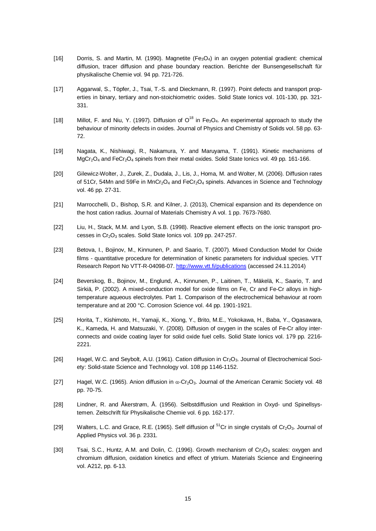- [16] Dorris, S. and Martin, M. (1990). Magnetite  $(Fe_3O_4)$  in an oxygen potential gradient: chemical diffusion, tracer diffusion and phase boundary reaction. Berichte der Bunsengesellschaft für physikalische Chemie vol. 94 pp. 721-726.
- [17] Aggarwal, S., Töpfer, J., Tsai, T.-S. and Dieckmann, R. (1997). Point defects and transport properties in binary, tertiary and non-stoichiometric oxides. Solid State Ionics vol. 101-130, pp. 321- 331.
- [18] Millot, F. and Niu, Y. (1997). Diffusion of  $O^{18}$  in Fe<sub>3</sub>O<sub>4</sub>. An experimental approach to study the behaviour of minority defects in oxides. Journal of Physics and Chemistry of Solids vol. 58 pp. 63- 72.
- [19] Nagata, K., Nishiwagi, R., Nakamura, Y. and Maruyama, T. (1991). Kinetic mechanisms of  $MgCr_2O_4$  and FeCr<sub>2</sub>O<sub>4</sub> spinels from their metal oxides. Solid State Ionics vol. 49 pp. 161-166.
- [20] Gilewicz-Wolter, J., Zurek, Z., Dudala, J., Lis, J., Homa, M. and Wolter, M. (2006). Diffusion rates of 51Cr, 54Mn and 59Fe in MnCr<sub>2</sub>O<sub>4</sub> and FeCr<sub>2</sub>O<sub>4</sub> spinels. Advances in Science and Technology vol. 46 pp. 27-31.
- [21] Marrocchelli, D., Bishop, S.R. and Kilner, J. (2013), Chemical expansion and its dependence on the host cation radius. Journal of Materials Chemistry A vol. 1 pp. 7673-7680.
- [22] Liu, H., Stack, M.M. and Lyon, S.B. (1998). Reactive element effects on the ionic transport processes in Cr<sub>2</sub>O<sub>3</sub> scales. Solid State Ionics vol. 109 pp. 247-257.
- [23] Betova, I., Bojinov, M., Kinnunen, P. and Saario, T. (2007). Mixed Conduction Model for Oxide films - quantitative procedure for determination of kinetic parameters for individual species. VTT Research Report No VTT-R-04098-07. http://www.vtt.fi/publications (accessed 24.11.2014)
- [24] Beverskog, B., Bojinov, M., Englund, A., Kinnunen, P., Laitinen, T., Mäkelä, K., Saario, T. and Sirkiä, P. (2002). A mixed-conduction model for oxide films on Fe, Cr and Fe-Cr alloys in hightemperature aqueous electrolytes. Part 1. Comparison of the electrochemical behaviour at room temperature and at 200 °C. Corrosion Science vol. 44 pp. 1901-1921.
- [25] Horita, T., Kishimoto, H., Yamaji, K., Xiong, Y., Brito, M.E., Yokokawa, H., Baba, Y., Ogasawara, K., Kameda, H. and Matsuzaki, Y. (2008). Diffusion of oxygen in the scales of Fe-Cr alloy interconnects and oxide coating layer for solid oxide fuel cells. Solid State Ionics vol. 179 pp. 2216- 2221.
- [26] Hagel, W.C. and Seybolt, A.U. (1961). Cation diffusion in Cr<sub>2</sub>O<sub>3</sub>. Journal of Electrochemical Society: Solid-state Science and Technology vol. 108 pp 1146-1152.
- [27] Hagel, W.C. (1965). Anion diffusion in  $\alpha$ -Cr<sub>2</sub>O<sub>3</sub>. Journal of the American Ceramic Society vol. 48 pp. 70-75.
- [28] Lindner, R. and Åkerstrøm, Å. (1956). Selbstdiffusion und Reaktion in Oxyd- und Spinellsystemen. Zeitschrift für Physikalische Chemie vol. 6 pp. 162-177.
- [29] Walters, L.C. and Grace, R.E. (1965). Self diffusion of  $51$ Cr in single crystals of Cr<sub>2</sub>O<sub>3</sub>. Journal of Applied Physics vol. 36 p. 2331.
- [30] Tsai, S.C., Huntz, A.M. and Dolin, C. (1996). Growth mechanism of  $Cr_2O_3$  scales: oxygen and chromium diffusion, oxidation kinetics and effect of yttrium. Materials Science and Engineering vol. A212, pp. 6-13.